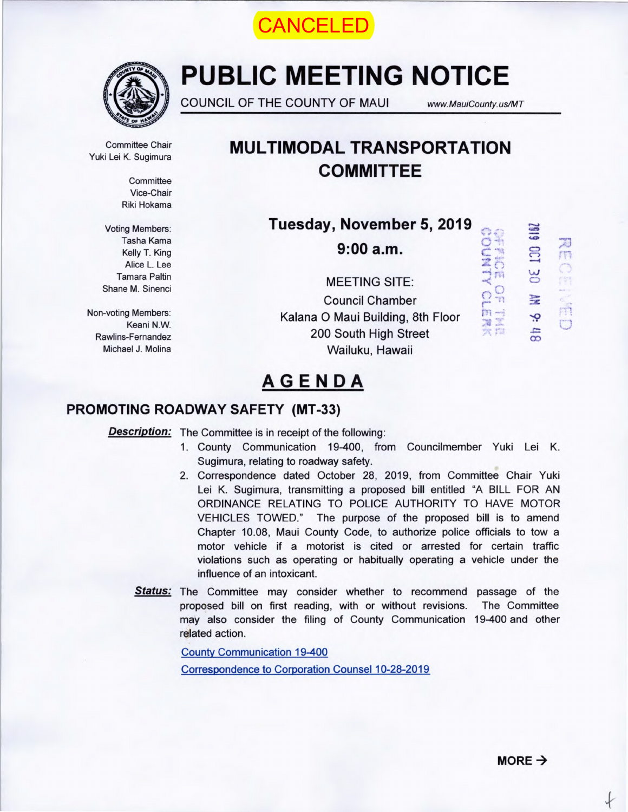



# **PUBLIC MEETING NOTICE**

COUNCIL OF THE COUNTY OF MAUI www.MauiCounty.us/MT

**DENTIS** 

鹛  $\circ$ 

 $\mathbb{T}^n$ 

 $\frac{m}{2}$  $\frac{1}{\sqrt{M}}$ 

 $\mathfrak{R}$  full

Committee Chair

**Committee** Vice-Chair Riki Hokama

Voting Members: Tasha Kama Kelly T. King Alice L. Lee Tamara Paltin Shane M. Sinenci

Keani N.W.

# **Committee Chair**<br>Yuki Lei K. Sugimura<br>**MULTIMODAL TRANSPORTATION COMMITTEE**

**Tuesday, November 5, 2019** 

 $9:00a.m.$ 

MEETING SITE: Council Chamber Non-voting Members. Kalana 0 Maui Building, 8th Floor Rawlins-Fernandez 200 South High Street Michael J. Molina Wailuku, Hawaii



 $\frac{1}{2}$ 

 $\mathcal{O}$ 

m

 $\Box$ 

# AGENDA

# PROMOTING ROADWAY SAFETY (MT-33)

**Description:** The Committee is in receipt of the following:

- 1. County Communication 19-400, from Councilmember Yuki Lei K. Sugimura, relating to roadway safety.
- 2. Correspondence dated October 28, 2019, from Committee Chair Yuki Lei K. Sugimura, transmitting a proposed bill entitled "A BILL FOR AN ORDINANCE RELATING TO POLICE AUTHORITY TO HAVE MOTOR VEHICLES TOWED." The purpose of the proposed bill is to amend Chapter 10.08, Maui County Code, to authorize police officials to tow a motor vehicle if a motorist is cited or arrested for certain traffic violations such as operating or habitually operating a vehicle under the influence of an intoxicant.
- Status: The Committee may consider whether to recommend passage of the proposed bill on first reading, with or without revisions. The Committee may also consider the filing of County Communication 19-400 and other related action.

County Communication 19-400 Correspondence to Corporation Counsel 10-28-2019